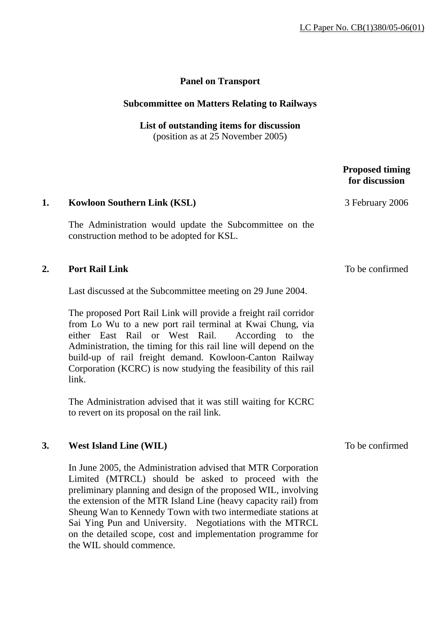## **Panel on Transport**

#### **Subcommittee on Matters Relating to Railways**

**List of outstanding items for discussion**  (position as at 25 November 2005)

# **1. Kowloon Southern Link (KSL)** The Administration would update the Subcommittee on the construction method to be adopted for KSL. **2. Port Rail Link**  Last discussed at the Subcommittee meeting on 29 June 2004. The proposed Port Rail Link will provide a freight rail corridor from Lo Wu to a new port rail terminal at Kwai Chung, via either East Rail or West Rail. According to the Administration, the timing for this rail line will depend on the build-up of rail freight demand. Kowloon-Canton Railway Corporation (KCRC) is now studying the feasibility of this rail

The Administration advised that it was still waiting for KCRC to revert on its proposal on the rail link.

### **3. West Island Line (WIL)**

link.

In June 2005, the Administration advised that MTR Corporation Limited (MTRCL) should be asked to proceed with the preliminary planning and design of the proposed WIL, involving the extension of the MTR Island Line (heavy capacity rail) from Sheung Wan to Kennedy Town with two intermediate stations at Sai Ying Pun and University. Negotiations with the MTRCL on the detailed scope, cost and implementation programme for the WIL should commence.

To be confirmed

### **Proposed timing for discussion**

3 February 2006

To be confirmed